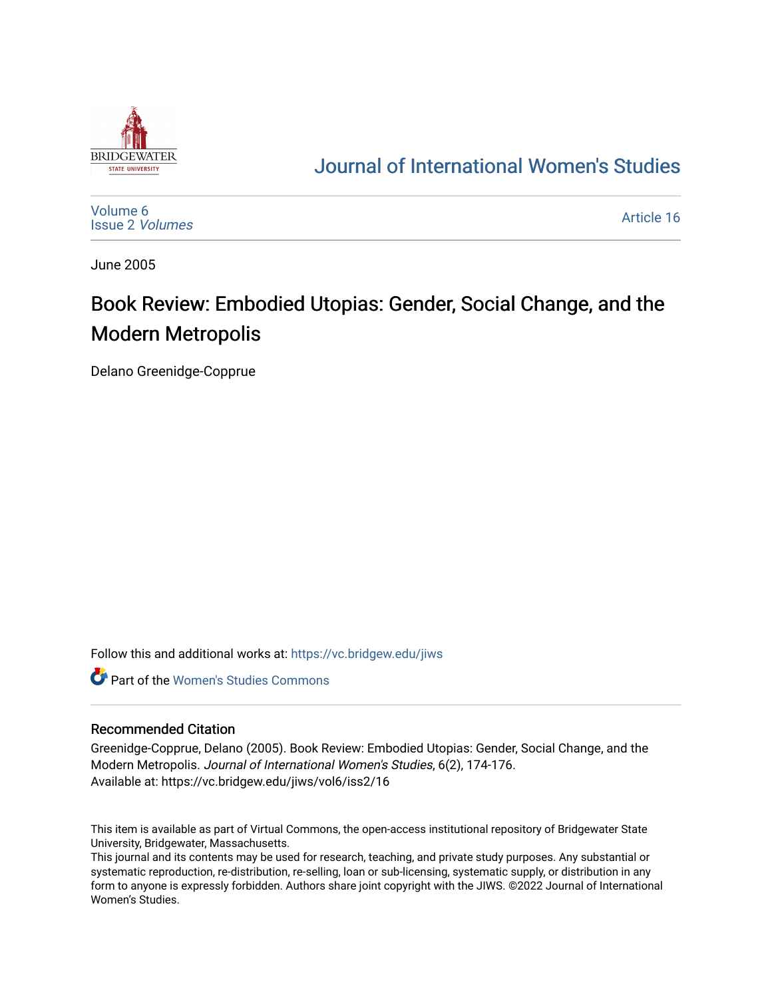

## [Journal of International Women's Studies](https://vc.bridgew.edu/jiws)

[Volume 6](https://vc.bridgew.edu/jiws/vol6) [Issue 2](https://vc.bridgew.edu/jiws/vol6/iss2) Volumes

[Article 16](https://vc.bridgew.edu/jiws/vol6/iss2/16) 

June 2005

## Book Review: Embodied Utopias: Gender, Social Change, and the Modern Metropolis

Delano Greenidge-Copprue

Follow this and additional works at: [https://vc.bridgew.edu/jiws](https://vc.bridgew.edu/jiws?utm_source=vc.bridgew.edu%2Fjiws%2Fvol6%2Fiss2%2F16&utm_medium=PDF&utm_campaign=PDFCoverPages)

**C** Part of the Women's Studies Commons

## Recommended Citation

Greenidge-Copprue, Delano (2005). Book Review: Embodied Utopias: Gender, Social Change, and the Modern Metropolis. Journal of International Women's Studies, 6(2), 174-176. Available at: https://vc.bridgew.edu/jiws/vol6/iss2/16

This item is available as part of Virtual Commons, the open-access institutional repository of Bridgewater State University, Bridgewater, Massachusetts.

This journal and its contents may be used for research, teaching, and private study purposes. Any substantial or systematic reproduction, re-distribution, re-selling, loan or sub-licensing, systematic supply, or distribution in any form to anyone is expressly forbidden. Authors share joint copyright with the JIWS. ©2022 Journal of International Women's Studies.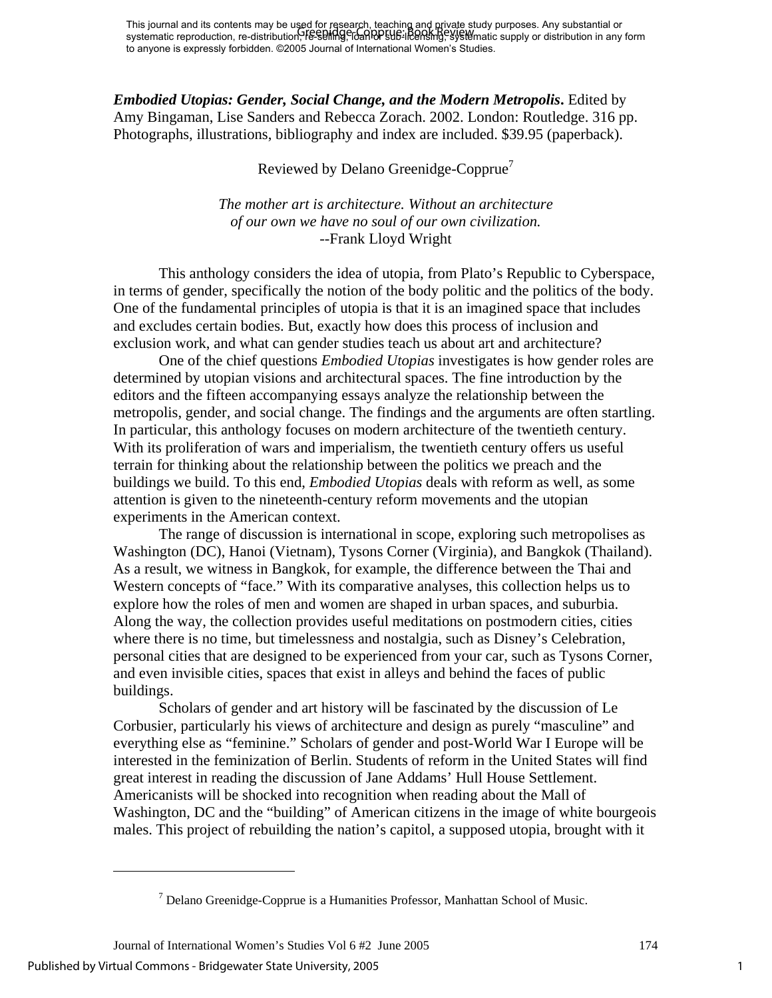This journal and its contents may be used for research, teaching and private study purposes. Any substantial or This journal and its contents may be ased for research, leading any private study purposes. Any substantial or<br>systematic reproduction, re-distribution, FE-SPIIng, To and PUB-IRERSING, Systematic supply or distribution in to anyone is expressly forbidden. ©2005 Journal of International Women's Studies.

*Embodied Utopias: Gender, Social Change, and the Modern Metropolis***.** Edited by Amy Bingaman, Lise Sanders and Rebecca Zorach. 2002. London: Routledge. 316 pp. Photographs, illustrations, bibliography and index are included. \$39.95 (paperback).

Reviewed by Delano Greenidge-Copprue<sup>7</sup>

*The mother art is architecture. Without an architecture of our own we have no soul of our own civilization.*  --Frank Lloyd Wright

This anthology considers the idea of utopia, from Plato's Republic to Cyberspace, in terms of gender, specifically the notion of the body politic and the politics of the body. One of the fundamental principles of utopia is that it is an imagined space that includes and excludes certain bodies. But, exactly how does this process of inclusion and exclusion work, and what can gender studies teach us about art and architecture?

One of the chief questions *Embodied Utopias* investigates is how gender roles are determined by utopian visions and architectural spaces. The fine introduction by the editors and the fifteen accompanying essays analyze the relationship between the metropolis, gender, and social change. The findings and the arguments are often startling. In particular, this anthology focuses on modern architecture of the twentieth century. With its proliferation of wars and imperialism, the twentieth century offers us useful terrain for thinking about the relationship between the politics we preach and the buildings we build. To this end, *Embodied Utopias* deals with reform as well, as some attention is given to the nineteenth-century reform movements and the utopian experiments in the American context.

The range of discussion is international in scope, exploring such metropolises as Washington (DC), Hanoi (Vietnam), Tysons Corner (Virginia), and Bangkok (Thailand). As a result, we witness in Bangkok, for example, the difference between the Thai and Western concepts of "face." With its comparative analyses, this collection helps us to explore how the roles of men and women are shaped in urban spaces, and suburbia. Along the way, the collection provides useful meditations on postmodern cities, cities where there is no time, but timelessness and nostalgia, such as Disney's Celebration, personal cities that are designed to be experienced from your car, such as Tysons Corner, and even invisible cities, spaces that exist in alleys and behind the faces of public buildings.

Scholars of gender and art history will be fascinated by the discussion of Le Corbusier, particularly his views of architecture and design as purely "masculine" and everything else as "feminine." Scholars of gender and post-World War I Europe will be interested in the feminization of Berlin. Students of reform in the United States will find great interest in reading the discussion of Jane Addams' Hull House Settlement. Americanists will be shocked into recognition when reading about the Mall of Washington, DC and the "building" of American citizens in the image of white bourgeois males. This project of rebuilding the nation's capitol, a supposed utopia, brought with it

Journal of International Women's Studies Vol 6 #2 June 2005 174

Published by Virtual Commons - Bridgewater State University, 2005

 $\overline{a}$ 

<span id="page-1-0"></span> $<sup>7</sup>$  Delano Greenidge-Copprue is a Humanities Professor, Manhattan School of Music.</sup>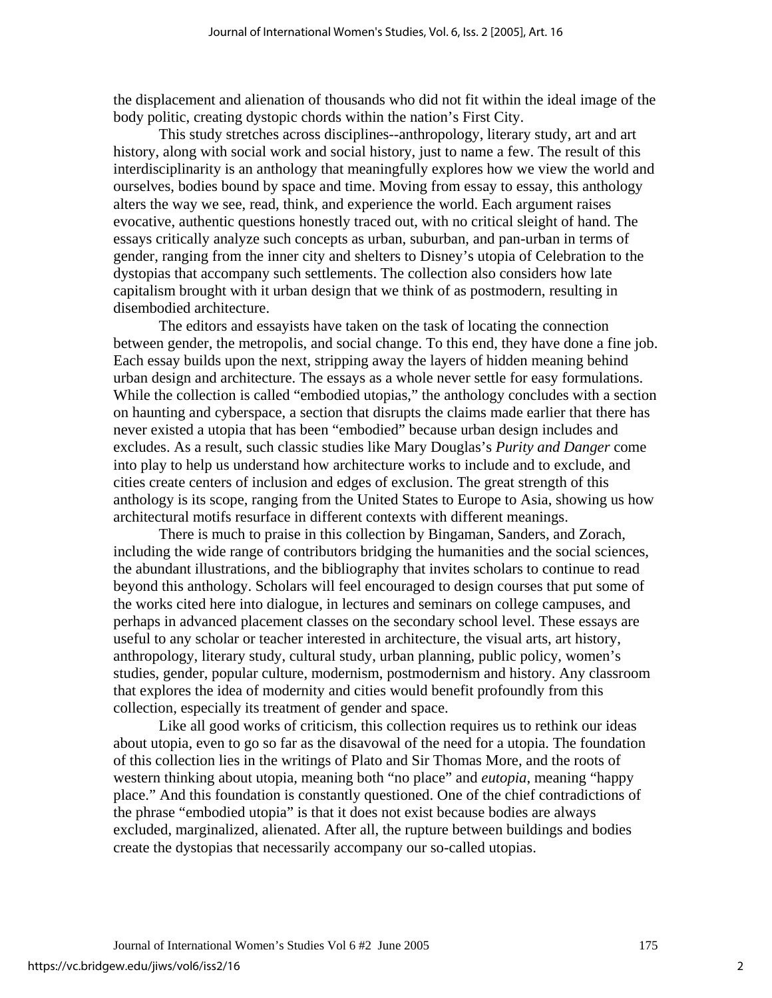the displacement and alienation of thousands who did not fit within the ideal image of the body politic, creating dystopic chords within the nation's First City.

This study stretches across disciplines--anthropology, literary study, art and art history, along with social work and social history, just to name a few. The result of this interdisciplinarity is an anthology that meaningfully explores how we view the world and ourselves, bodies bound by space and time. Moving from essay to essay, this anthology alters the way we see, read, think, and experience the world. Each argument raises evocative, authentic questions honestly traced out, with no critical sleight of hand. The essays critically analyze such concepts as urban, suburban, and pan-urban in terms of gender, ranging from the inner city and shelters to Disney's utopia of Celebration to the dystopias that accompany such settlements. The collection also considers how late capitalism brought with it urban design that we think of as postmodern, resulting in disembodied architecture.

The editors and essayists have taken on the task of locating the connection between gender, the metropolis, and social change. To this end, they have done a fine job. Each essay builds upon the next, stripping away the layers of hidden meaning behind urban design and architecture. The essays as a whole never settle for easy formulations. While the collection is called "embodied utopias," the anthology concludes with a section on haunting and cyberspace, a section that disrupts the claims made earlier that there has never existed a utopia that has been "embodied" because urban design includes and excludes. As a result, such classic studies like Mary Douglas's *Purity and Danger* come into play to help us understand how architecture works to include and to exclude, and cities create centers of inclusion and edges of exclusion. The great strength of this anthology is its scope, ranging from the United States to Europe to Asia, showing us how architectural motifs resurface in different contexts with different meanings.

There is much to praise in this collection by Bingaman, Sanders, and Zorach, including the wide range of contributors bridging the humanities and the social sciences, the abundant illustrations, and the bibliography that invites scholars to continue to read beyond this anthology. Scholars will feel encouraged to design courses that put some of the works cited here into dialogue, in lectures and seminars on college campuses, and perhaps in advanced placement classes on the secondary school level. These essays are useful to any scholar or teacher interested in architecture, the visual arts, art history, anthropology, literary study, cultural study, urban planning, public policy, women's studies, gender, popular culture, modernism, postmodernism and history. Any classroom that explores the idea of modernity and cities would benefit profoundly from this collection, especially its treatment of gender and space.

Like all good works of criticism, this collection requires us to rethink our ideas about utopia, even to go so far as the disavowal of the need for a utopia. The foundation of this collection lies in the writings of Plato and Sir Thomas More, and the roots of western thinking about utopia, meaning both "no place" and *eutopia*, meaning "happy place." And this foundation is constantly questioned. One of the chief contradictions of the phrase "embodied utopia" is that it does not exist because bodies are always excluded, marginalized, alienated. After all, the rupture between buildings and bodies create the dystopias that necessarily accompany our so-called utopias.